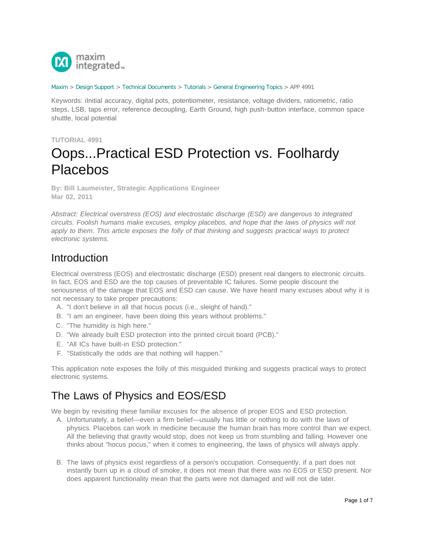

#### [Maxim](http://www.maximintegrated.com/) > [Design Support](http://www.maximintegrated.com/design/) > [Technical Documents](http://www.maximintegrated.com/design/techdocs/) > [Tutorials](http://www.maximintegrated.com/design/techdocs/tutorials/index.mvp) > [General Engineering Topics](http://www.maximintegrated.com/design/techdocs/tutorials/index.mvp/id/41/c/General%20Engineering%20Topics#c41) > APP 4991

Keywords: iInitial accuracy, digital pots, potentiometer, resistance, voltage dividers, ratiometric, ratio steps, LSB, taps error, reference decoupling, Earth Ground, high push-button interface, common space shuttle, local potential

### **TUTORIAL 4991**

# Oops...Practical ESD Protection vs. Foolhardy Placebos

**By: Bill Laumeister, Strategic Applications Engineer Mar 02, 2011**

*Abstract: Electrical overstress (EOS) and electrostatic discharge (ESD) are dangerous to integrated circuits. Foolish humans make excuses, employ placebos, and hope that the laws of physics will not apply to them. This article exposes the folly of that thinking and suggests practical ways to protect electronic systems.*

### **Introduction**

Electrical overstress (EOS) and electrostatic discharge (ESD) present real dangers to electronic circuits. In fact, EOS and ESD are the top causes of preventable IC failures. Some people discount the seriousness of the damage that EOS and ESD can cause. We have heard many excuses about why it is not necessary to take proper precautions:

- A. "I don't believe in all that hocus pocus (i.e., sleight of hand)."
- B. "I am an engineer, have been doing this years without problems."
- C. "The humidity is high here."
- D. "We already built ESD protection into the printed circuit board (PCB)."
- E. "All ICs have built-in ESD protection."
- F. "Statistically the odds are that nothing will happen."

This application note exposes the folly of this misguided thinking and suggests practical ways to protect electronic systems.

### The Laws of Physics and EOS/ESD

We begin by revisiting these familiar excuses for the absence of proper EOS and ESD protection.

- A. Unfortunately, a belief—even a firm belief—usually has little or nothing to do with the laws of physics. Placebos can work in medicine because the human brain has more control than we expect. All the believing that gravity would stop, does not keep us from stumbling and falling. However one thinks about "hocus pocus," when it comes to engineering, the laws of physics will always apply.
- B. The laws of physics exist regardless of a person's occupation. Consequently, if a part does not instantly burn up in a cloud of smoke, it does not mean that there was no EOS or ESD present. Nor does apparent functionality mean that the parts were not damaged and will not die later.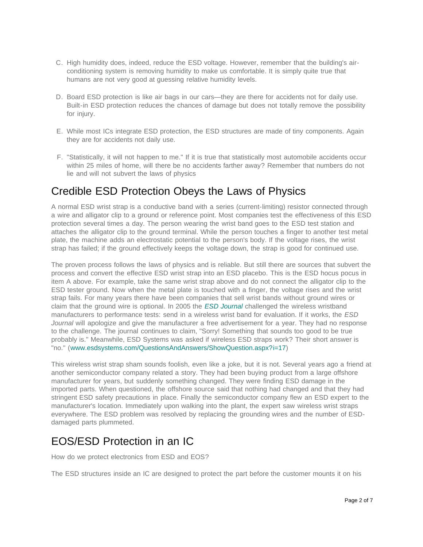- C. High humidity does, indeed, reduce the ESD voltage. However, remember that the building's airconditioning system is removing humidity to make us comfortable. It is simply quite true that humans are not very good at guessing relative humidity levels.
- D. Board ESD protection is like air bags in our cars—they are there for accidents not for daily use. Built-in ESD protection reduces the chances of damage but does not totally remove the possibility for injury.
- E. While most ICs integrate ESD protection, the ESD structures are made of tiny components. Again they are for accidents not daily use.
- F. "Statistically, it will not happen to me." If it is true that statistically most automobile accidents occur within 25 miles of home, will there be no accidents farther away? Remember that numbers do not lie and will not subvert the laws of physics

### Credible ESD Protection Obeys the Laws of Physics

A normal ESD wrist strap is a conductive band with a series (current-limiting) resistor connected through a wire and alligator clip to a ground or reference point. Most companies test the effectiveness of this ESD protection several times a day. The person wearing the wrist band goes to the ESD test station and attaches the alligator clip to the ground terminal. While the person touches a finger to another test metal plate, the machine adds an electrostatic potential to the person's body. If the voltage rises, the wrist strap has failed; if the ground effectively keeps the voltage down, the strap is good for continued use.

The proven process follows the laws of physics and is reliable. But still there are sources that subvert the process and convert the effective ESD wrist strap into an ESD placebo. This is the ESD hocus pocus in item A above. For example, take the same wrist strap above and do not connect the alligator clip to the ESD tester ground. Now when the metal plate is touched with a finger, the voltage rises and the wrist strap fails. For many years there have been companies that sell wrist bands without ground wires or claim that the ground wire is optional. In 2005 the *[ESD Journal](http://www.esdjournal.com/techpapr/sfowler/wireless.htm)* challenged the wireless wristband manufacturers to performance tests: send in a wireless wrist band for evaluation. If it works, the *ESD Journal* will apologize and give the manufacturer a free advertisement for a year. They had no response to the challenge. The journal continues to claim, "Sorry! Something that sounds too good to be true probably is." Meanwhile, ESD Systems was asked if wireless ESD straps work? Their short answer is "no." ([www.esdsystems.com/QuestionsAndAnswers/ShowQuestion.aspx?i=17\)](http://www.esdsystems.com/QuestionsAndAnswers/ShowQuestion.aspx?i=17)

This wireless wrist strap sham sounds foolish, even like a joke, but it is not. Several years ago a friend at another semiconductor company related a story. They had been buying product from a large offshore manufacturer for years, but suddenly something changed. They were finding ESD damage in the imported parts. When questioned, the offshore source said that nothing had changed and that they had stringent ESD safety precautions in place. Finally the semiconductor company flew an ESD expert to the manufacturer's location. Immediately upon walking into the plant, the expert saw wireless wrist straps everywhere. The ESD problem was resolved by replacing the grounding wires and the number of ESDdamaged parts plummeted.

## EOS/ESD Protection in an IC

How do we protect electronics from ESD and EOS?

The ESD structures inside an IC are designed to protect the part before the customer mounts it on his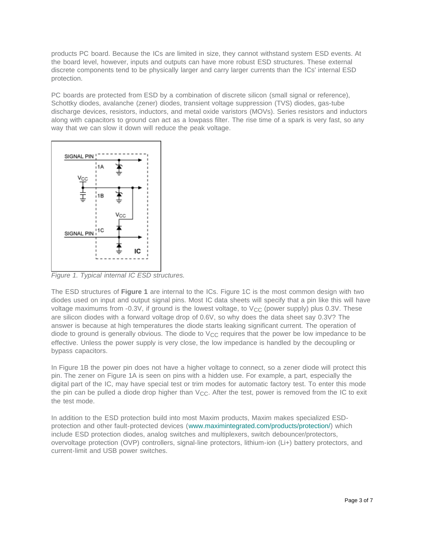products PC board. Because the ICs are limited in size, they cannot withstand system ESD events. At the board level, however, inputs and outputs can have more robust ESD structures. These external discrete components tend to be physically larger and carry larger currents than the ICs' internal ESD protection.

PC boards are protected from ESD by a combination of discrete silicon (small signal or reference), Schottky diodes, avalanche (zener) diodes, transient voltage suppression (TVS) diodes, gas-tube discharge devices, resistors, inductors, and metal oxide varistors (MOVs). Series resistors and inductors along with capacitors to ground can act as a lowpass filter. The rise time of a spark is very fast, so any way that we can slow it down will reduce the peak voltage.



*Figure 1. Typical internal IC ESD structures.*

The ESD structures of **Figure 1** are internal to the ICs. Figure 1C is the most common design with two diodes used on input and output signal pins. Most IC data sheets will specify that a pin like this will have voltage maximums from -0.3V, if ground is the lowest voltage, to  $V_{CC}$  (power supply) plus 0.3V. These are silicon diodes with a forward voltage drop of 0.6V, so why does the data sheet say 0.3V? The answer is because at high temperatures the diode starts leaking significant current. The operation of diode to ground is generally obvious. The diode to  $V_{CC}$  requires that the power be low impedance to be effective. Unless the power supply is very close, the low impedance is handled by the decoupling or bypass capacitors.

In Figure 1B the power pin does not have a higher voltage to connect, so a zener diode will protect this pin. The zener on Figure 1A is seen on pins with a hidden use. For example, a part, especially the digital part of the IC, may have special test or trim modes for automatic factory test. To enter this mode the pin can be pulled a diode drop higher than  $V_{CC}$ . After the test, power is removed from the IC to exit the test mode.

In addition to the ESD protection build into most Maxim products, Maxim makes specialized ESDprotection and other fault-protected devices ([www.maximintegrated.com/products/protection/\)](http://www.maximintegrated.com/products/protection/) which include ESD protection diodes, analog switches and multiplexers, switch debouncer/protectors, overvoltage protection (OVP) controllers, signal-line protectors, lithium-ion (Li+) battery protectors, and current-limit and USB power switches.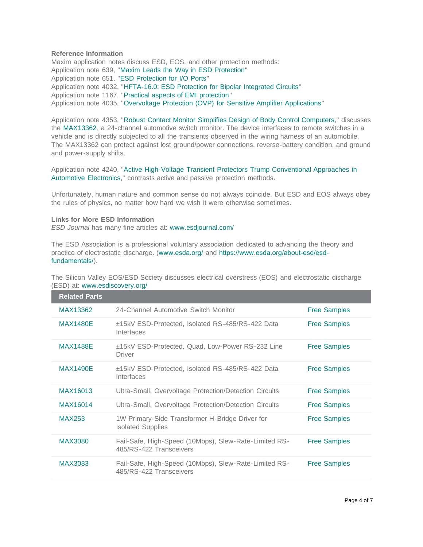### **Reference Information**

Maxim application notes discuss ESD, EOS, and other protection methods: Application note 639, "[Maxim Leads the Way in ESD Protection](http://www.maximintegrated.com/an639)" Application note 651, "[ESD Protection for I/O Ports](http://www.maximintegrated.com/an651)" Application note 4032, "[HFTA-16.0: ESD Protection for Bipolar Integrated Circuits](http://www.maximintegrated.com/an4032)" Application note 1167, "[Practical aspects of EMI protection](http://www.maximintegrated.com/an1167)" Application note 4035, "[Overvoltage Protection \(OVP\) for Sensitive Amplifier Applications](http://www.maximintegrated.com/an4035)"

Application note 4353, "[Robust Contact Monitor Simplifies Design of Body Control Computers](http://www.maximintegrated.com/an4353)," discusses the [MAX13362,](http://www.maximintegrated.com/MAX13362) a 24-channel automotive switch monitor. The device interfaces to remote switches in a vehicle and is directly subjected to all the transients observed in the wiring harness of an automobile. The MAX13362 can protect against lost ground/power connections, reverse-battery condition, and ground and power-supply shifts.

Application note 4240, "[Active High-Voltage Transient Protectors Trump Conventional Approaches in](http://www.maximintegrated.com/an4240) [Automotive Electronics](http://www.maximintegrated.com/an4240)," contrasts active and passive protection methods.

Unfortunately, human nature and common sense do not always coincide. But ESD and EOS always obey the rules of physics, no matter how hard we wish it were otherwise sometimes.

### **Links for More ESD Information**

*ESD Journal* has many fine articles at: [www.esdjournal.com/](http://www.esdjournal.com/)

The ESD Association is a professional voluntary association dedicated to advancing the theory and practice of electrostatic discharge. ([www.esda.org/](https://www.esda.org/) and [https://www.esda.org/about-esd/esd](https://www.esda.org/about-esd/esd-fundamentals/)fundamentals/).

The Silicon Valley EOS/ESD Society discusses electrical overstress (EOS) and electrostatic discharge (ESD) at: [www.esdiscovery.org/](http://www.esdiscovery.org/)

| <b>Related Parts</b> |                                                                                  |                     |
|----------------------|----------------------------------------------------------------------------------|---------------------|
| MAX13362             | 24-Channel Automotive Switch Monitor                                             | <b>Free Samples</b> |
| <b>MAX1480E</b>      | ±15kV ESD-Protected, Isolated RS-485/RS-422 Data<br>Interfaces                   | <b>Free Samples</b> |
| <b>MAX1488E</b>      | ±15kV ESD-Protected, Quad, Low-Power RS-232 Line<br><b>Driver</b>                | <b>Free Samples</b> |
| <b>MAX1490E</b>      | ±15kV ESD-Protected, Isolated RS-485/RS-422 Data<br>Interfaces                   | <b>Free Samples</b> |
| MAX16013             | Ultra-Small, Overvoltage Protection/Detection Circuits                           | <b>Free Samples</b> |
| MAX16014             | Ultra-Small, Overvoltage Protection/Detection Circuits                           | <b>Free Samples</b> |
| MAX253               | 1W Primary-Side Transformer H-Bridge Driver for<br><b>Isolated Supplies</b>      | <b>Free Samples</b> |
| MAX3080              | Fail-Safe, High-Speed (10Mbps), Slew-Rate-Limited RS-<br>485/RS-422 Transceivers | <b>Free Samples</b> |
| <b>MAX3083</b>       | Fail-Safe, High-Speed (10Mbps), Slew-Rate-Limited RS-<br>485/RS-422 Transceivers | <b>Free Samples</b> |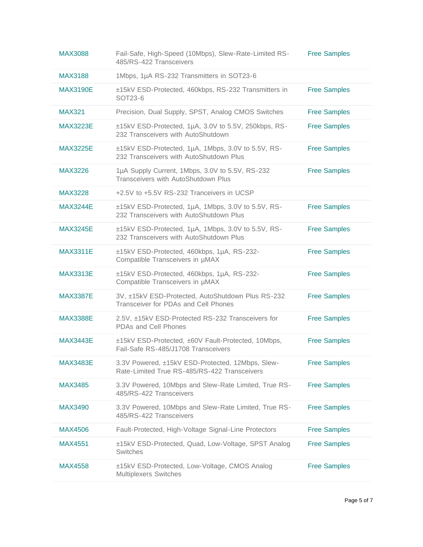| <b>MAX3088</b>  | Fail-Safe, High-Speed (10Mbps), Slew-Rate-Limited RS-<br>485/RS-422 Transceivers                 | <b>Free Samples</b> |
|-----------------|--------------------------------------------------------------------------------------------------|---------------------|
| MAX3188         | 1Mbps, 1µA RS-232 Transmitters in SOT23-6                                                        |                     |
| <b>MAX3190E</b> | ±15kV ESD-Protected, 460kbps, RS-232 Transmitters in<br>SOT23-6                                  | <b>Free Samples</b> |
| <b>MAX321</b>   | Precision, Dual Supply, SPST, Analog CMOS Switches                                               | <b>Free Samples</b> |
| <b>MAX3223E</b> | ±15kV ESD-Protected, 1µA, 3.0V to 5.5V, 250kbps, RS-<br>232 Transceivers with AutoShutdown       | <b>Free Samples</b> |
| <b>MAX3225E</b> | ±15kV ESD-Protected, 1µA, 1Mbps, 3.0V to 5.5V, RS-<br>232 Transceivers with AutoShutdown Plus    | <b>Free Samples</b> |
| MAX3226         | 1µA Supply Current, 1Mbps, 3.0V to 5.5V, RS-232<br>Transceivers with AutoShutdown Plus           | <b>Free Samples</b> |
| MAX3228         | +2.5V to +5.5V RS-232 Tranceivers in UCSP                                                        |                     |
| <b>MAX3244E</b> | ±15kV ESD-Protected, 1µA, 1Mbps, 3.0V to 5.5V, RS-<br>232 Transceivers with AutoShutdown Plus    | <b>Free Samples</b> |
| <b>MAX3245E</b> | ±15kV ESD-Protected, 1µA, 1Mbps, 3.0V to 5.5V, RS-<br>232 Transceivers with AutoShutdown Plus    | <b>Free Samples</b> |
| <b>MAX3311E</b> | ±15kV ESD-Protected, 460kbps, 1µA, RS-232-<br>Compatible Transceivers in µMAX                    | <b>Free Samples</b> |
| <b>MAX3313E</b> | ±15kV ESD-Protected, 460kbps, 1µA, RS-232-<br>Compatible Transceivers in µMAX                    | <b>Free Samples</b> |
| <b>MAX3387E</b> | 3V, ±15kV ESD-Protected, AutoShutdown Plus RS-232<br>Transceiver for PDAs and Cell Phones        | <b>Free Samples</b> |
| <b>MAX3388E</b> | 2.5V, ±15kV ESD-Protected RS-232 Transceivers for<br>PDAs and Cell Phones                        | <b>Free Samples</b> |
| <b>MAX3443E</b> | ±15kV ESD-Protected, ±60V Fault-Protected, 10Mbps,<br>Fail-Safe RS-485/J1708 Transceivers        | <b>Free Samples</b> |
| <b>MAX3483E</b> | 3.3V Powered, ±15kV ESD-Protected, 12Mbps, Slew-<br>Rate-Limited True RS-485/RS-422 Transceivers | <b>Free Samples</b> |
| <b>MAX3485</b>  | 3.3V Powered, 10Mbps and Slew-Rate Limited, True RS-<br>485/RS-422 Transceivers                  | <b>Free Samples</b> |
| MAX3490         | 3.3V Powered, 10Mbps and Slew-Rate Limited, True RS-<br>485/RS-422 Transceivers                  | <b>Free Samples</b> |
| <b>MAX4506</b>  | Fault-Protected, High-Voltage Signal-Line Protectors                                             | <b>Free Samples</b> |
| <b>MAX4551</b>  | ±15kV ESD-Protected, Quad, Low-Voltage, SPST Analog<br>Switches                                  | <b>Free Samples</b> |
| <b>MAX4558</b>  | ±15kV ESD-Protected, Low-Voltage, CMOS Analog<br><b>Multiplexers Switches</b>                    | <b>Free Samples</b> |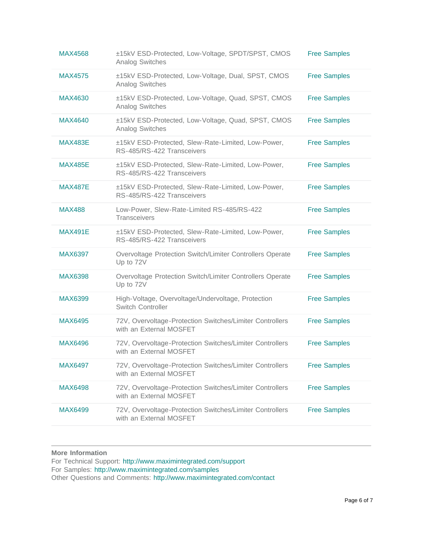| <b>MAX4568</b> | ±15kV ESD-Protected, Low-Voltage, SPDT/SPST, CMOS<br><b>Analog Switches</b>         | <b>Free Samples</b> |
|----------------|-------------------------------------------------------------------------------------|---------------------|
| <b>MAX4575</b> | ±15kV ESD-Protected, Low-Voltage, Dual, SPST, CMOS<br>Analog Switches               | <b>Free Samples</b> |
| <b>MAX4630</b> | ±15kV ESD-Protected, Low-Voltage, Quad, SPST, CMOS<br>Analog Switches               | <b>Free Samples</b> |
| MAX4640        | ±15kV ESD-Protected, Low-Voltage, Quad, SPST, CMOS<br>Analog Switches               | <b>Free Samples</b> |
| <b>MAX483E</b> | ±15kV ESD-Protected, Slew-Rate-Limited, Low-Power,<br>RS-485/RS-422 Transceivers    | <b>Free Samples</b> |
| <b>MAX485E</b> | ±15kV ESD-Protected, Slew-Rate-Limited, Low-Power,<br>RS-485/RS-422 Transceivers    | <b>Free Samples</b> |
| <b>MAX487E</b> | ±15kV ESD-Protected, Slew-Rate-Limited, Low-Power,<br>RS-485/RS-422 Transceivers    | <b>Free Samples</b> |
| <b>MAX488</b>  | Low-Power, Slew-Rate-Limited RS-485/RS-422<br><b>Transceivers</b>                   | <b>Free Samples</b> |
| <b>MAX491E</b> | ±15kV ESD-Protected, Slew-Rate-Limited, Low-Power,<br>RS-485/RS-422 Transceivers    | <b>Free Samples</b> |
| <b>MAX6397</b> | Overvoltage Protection Switch/Limiter Controllers Operate<br>Up to 72V              | <b>Free Samples</b> |
| <b>MAX6398</b> | Overvoltage Protection Switch/Limiter Controllers Operate<br>Up to 72V              | <b>Free Samples</b> |
| <b>MAX6399</b> | High-Voltage, Overvoltage/Undervoltage, Protection<br>Switch Controller             | <b>Free Samples</b> |
| <b>MAX6495</b> | 72V, Overvoltage-Protection Switches/Limiter Controllers<br>with an External MOSFET | <b>Free Samples</b> |
| MAX6496        | 72V, Overvoltage-Protection Switches/Limiter Controllers<br>with an External MOSFET | <b>Free Samples</b> |
| <b>MAX6497</b> | 72V, Overvoltage-Protection Switches/Limiter Controllers<br>with an External MOSFET | <b>Free Samples</b> |
| <b>MAX6498</b> | 72V, Overvoltage-Protection Switches/Limiter Controllers<br>with an External MOSFET | <b>Free Samples</b> |
| <b>MAX6499</b> | 72V, Overvoltage-Protection Switches/Limiter Controllers<br>with an External MOSFET | <b>Free Samples</b> |
|                |                                                                                     |                     |

### **More Information**

For Technical Support: <http://www.maximintegrated.com/support>

For Samples: <http://www.maximintegrated.com/samples>

Other Questions and Comments: <http://www.maximintegrated.com/contact>